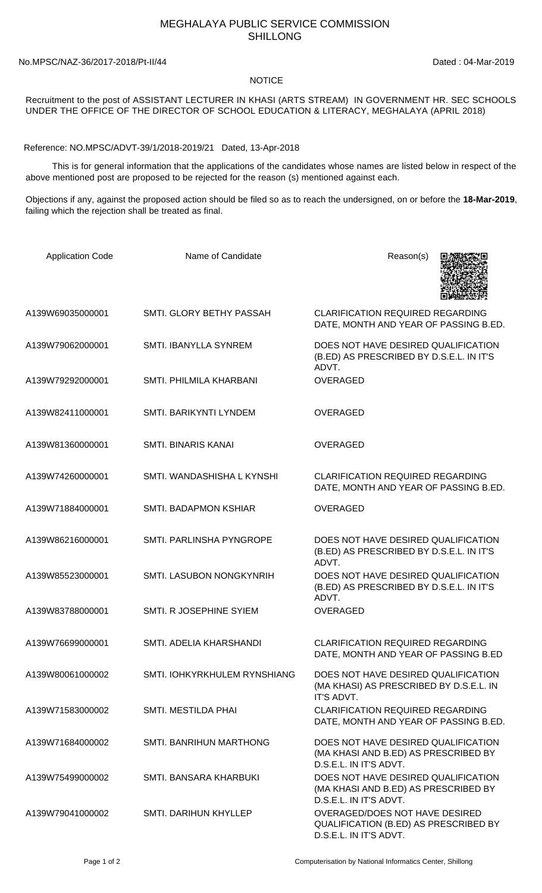## MEGHALAYA PUBLIC SERVICE COMMISSION SHILLONG

## No.MPSC/NAZ-36/2017-2018/Pt-II/44 Dated : 04-Mar-2019

## NOTICE

Recruitment to the post of ASSISTANT LECTURER IN KHASI (ARTS STREAM) IN GOVERNMENT HR. SEC SCHOOLS UNDER THE OFFICE OF THE DIRECTOR OF SCHOOL EDUCATION & LITERACY, MEGHALAYA (APRIL 2018)

Reference: NO.MPSC/ADVT-39/1/2018-2019/21 Dated, 13-Apr-2018

 This is for general information that the applications of the candidates whose names are listed below in respect of the above mentioned post are proposed to be rejected for the reason (s) mentioned against each.

Objections if any, against the proposed action should be filed so as to reach the undersigned, on or before the **18-Mar-2019**, failing which the rejection shall be treated as final.

| <b>Application Code</b> | Name of Candidate            | Reason(s)                                                                                             |
|-------------------------|------------------------------|-------------------------------------------------------------------------------------------------------|
| A139W69035000001        | SMTI. GLORY BETHY PASSAH     | <b>CLARIFICATION REQUIRED REGARDING</b><br>DATE, MONTH AND YEAR OF PASSING B.ED.                      |
| A139W79062000001        | <b>SMTI. IBANYLLA SYNREM</b> | DOES NOT HAVE DESIRED QUALIFICATION<br>(B.ED) AS PRESCRIBED BY D.S.E.L. IN IT'S<br>ADVT.              |
| A139W79292000001        | SMTI. PHILMILA KHARBANI      | <b>OVERAGED</b>                                                                                       |
| A139W82411000001        | SMTI. BARIKYNTI LYNDEM       | <b>OVERAGED</b>                                                                                       |
| A139W81360000001        | <b>SMTI. BINARIS KANAI</b>   | <b>OVERAGED</b>                                                                                       |
| A139W74260000001        | SMTI. WANDASHISHA L KYNSHI   | <b>CLARIFICATION REQUIRED REGARDING</b><br>DATE, MONTH AND YEAR OF PASSING B.ED.                      |
| A139W71884000001        | SMTI. BADAPMON KSHIAR        | <b>OVERAGED</b>                                                                                       |
| A139W86216000001        | SMTI. PARLINSHA PYNGROPE     | DOES NOT HAVE DESIRED QUALIFICATION<br>(B.ED) AS PRESCRIBED BY D.S.E.L. IN IT'S<br>ADVT.              |
| A139W85523000001        | SMTI. LASUBON NONGKYNRIH     | DOES NOT HAVE DESIRED QUALIFICATION<br>(B.ED) AS PRESCRIBED BY D.S.E.L. IN IT'S<br>ADVT.              |
| A139W83788000001        | SMTI. R JOSEPHINE SYIEM      | <b>OVERAGED</b>                                                                                       |
| A139W76699000001        | SMTI. ADELIA KHARSHANDI      | <b>CLARIFICATION REQUIRED REGARDING</b><br>DATE, MONTH AND YEAR OF PASSING B.ED                       |
| A139W80061000002        | SMTI. IOHKYRKHULEM RYNSHIANG | DOES NOT HAVE DESIRED QUALIFICATION<br>(MA KHASI) AS PRESCRIBED BY D.S.E.L. IN<br>IT'S ADVT.          |
| A139W71583000002        | SMTI. MESTILDA PHAI          | <b>CLARIFICATION REQUIRED REGARDING</b><br>DATE, MONTH AND YEAR OF PASSING B.ED.                      |
| A139W71684000002        | SMTI. BANRIHUN MARTHONG      | DOES NOT HAVE DESIRED QUALIFICATION<br>(MA KHASI AND B.ED) AS PRESCRIBED BY<br>D.S.E.L. IN IT'S ADVT. |
| A139W75499000002        | SMTI. BANSARA KHARBUKI       | DOES NOT HAVE DESIRED QUALIFICATION<br>(MA KHASI AND B.ED) AS PRESCRIBED BY<br>D.S.E.L. IN IT'S ADVT. |
| A139W79041000002        | SMTI. DARIHUN KHYLLEP        | OVERAGED/DOES NOT HAVE DESIRED<br>QUALIFICATION (B.ED) AS PRESCRIBED BY<br>D.S.E.L. IN IT'S ADVT.     |